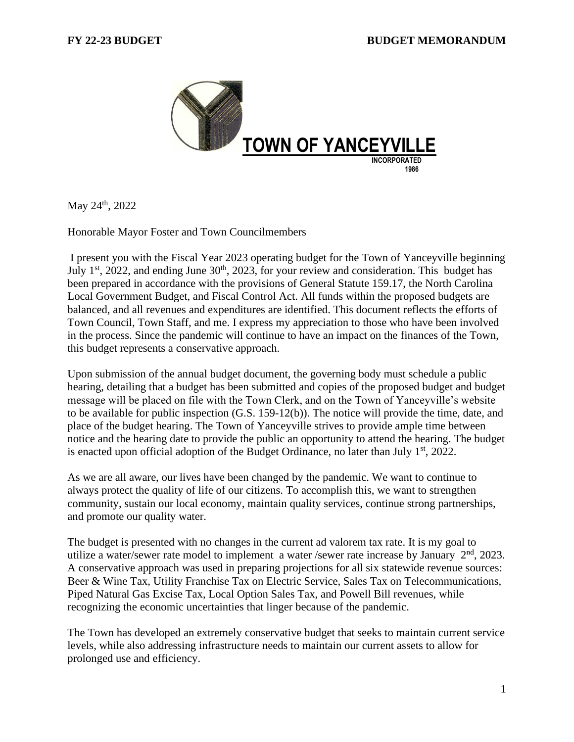

May 24th, 2022

Honorable Mayor Foster and Town Councilmembers

I present you with the Fiscal Year 2023 operating budget for the Town of Yanceyville beginning July  $1<sup>st</sup>$ , 2022, and ending June  $30<sup>th</sup>$ , 2023, for your review and consideration. This budget has been prepared in accordance with the provisions of General Statute 159.17, the North Carolina Local Government Budget, and Fiscal Control Act. All funds within the proposed budgets are balanced, and all revenues and expenditures are identified. This document reflects the efforts of Town Council, Town Staff, and me. I express my appreciation to those who have been involved in the process. Since the pandemic will continue to have an impact on the finances of the Town, this budget represents a conservative approach.

Upon submission of the annual budget document, the governing body must schedule a public hearing, detailing that a budget has been submitted and copies of the proposed budget and budget message will be placed on file with the Town Clerk, and on the Town of Yanceyville's website to be available for public inspection (G.S. 159-12(b)). The notice will provide the time, date, and place of the budget hearing. The Town of Yanceyville strives to provide ample time between notice and the hearing date to provide the public an opportunity to attend the hearing. The budget is enacted upon official adoption of the Budget Ordinance, no later than July  $1<sup>st</sup>$ , 2022.

As we are all aware, our lives have been changed by the pandemic. We want to continue to always protect the quality of life of our citizens. To accomplish this, we want to strengthen community, sustain our local economy, maintain quality services, continue strong partnerships, and promote our quality water.

The budget is presented with no changes in the current ad valorem tax rate. It is my goal to utilize a water/sewer rate model to implement a water /sewer rate increase by January  $2<sup>nd</sup>$ , 2023. A conservative approach was used in preparing projections for all six statewide revenue sources: Beer & Wine Tax, Utility Franchise Tax on Electric Service, Sales Tax on Telecommunications, Piped Natural Gas Excise Tax, Local Option Sales Tax, and Powell Bill revenues, while recognizing the economic uncertainties that linger because of the pandemic.

The Town has developed an extremely conservative budget that seeks to maintain current service levels, while also addressing infrastructure needs to maintain our current assets to allow for prolonged use and efficiency.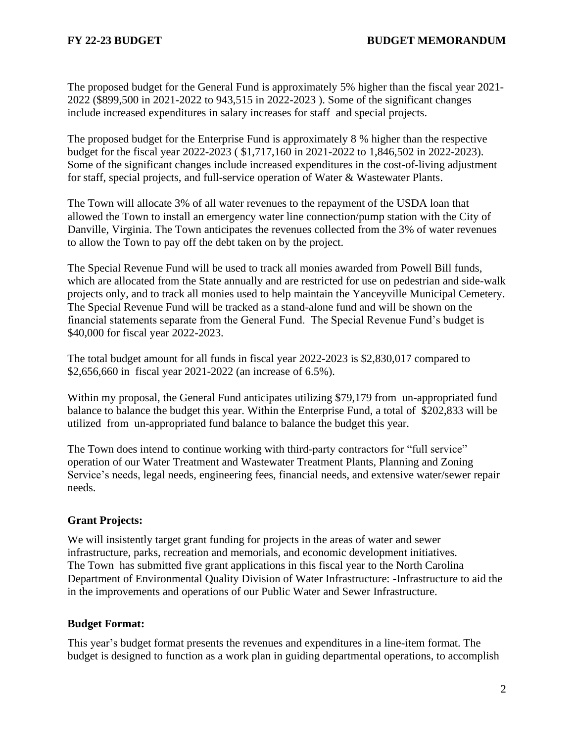The proposed budget for the General Fund is approximately 5% higher than the fiscal year 2021- 2022 (\$899,500 in 2021-2022 to 943,515 in 2022-2023 ). Some of the significant changes include increased expenditures in salary increases for staff and special projects.

The proposed budget for the Enterprise Fund is approximately 8 % higher than the respective budget for the fiscal year 2022-2023 ( \$1,717,160 in 2021-2022 to 1,846,502 in 2022-2023). Some of the significant changes include increased expenditures in the cost-of-living adjustment for staff, special projects, and full-service operation of Water & Wastewater Plants.

The Town will allocate 3% of all water revenues to the repayment of the USDA loan that allowed the Town to install an emergency water line connection/pump station with the City of Danville, Virginia. The Town anticipates the revenues collected from the 3% of water revenues to allow the Town to pay off the debt taken on by the project.

The Special Revenue Fund will be used to track all monies awarded from Powell Bill funds, which are allocated from the State annually and are restricted for use on pedestrian and side-walk projects only, and to track all monies used to help maintain the Yanceyville Municipal Cemetery. The Special Revenue Fund will be tracked as a stand-alone fund and will be shown on the financial statements separate from the General Fund. The Special Revenue Fund's budget is \$40,000 for fiscal year 2022-2023.

The total budget amount for all funds in fiscal year 2022-2023 is \$2,830,017 compared to \$2,656,660 in fiscal year 2021-2022 (an increase of 6.5%).

Within my proposal, the General Fund anticipates utilizing \$79,179 from un-appropriated fund balance to balance the budget this year. Within the Enterprise Fund, a total of \$202,833 will be utilized from un-appropriated fund balance to balance the budget this year.

The Town does intend to continue working with third-party contractors for "full service" operation of our Water Treatment and Wastewater Treatment Plants, Planning and Zoning Service's needs, legal needs, engineering fees, financial needs, and extensive water/sewer repair needs.

## **Grant Projects:**

We will insistently target grant funding for projects in the areas of water and sewer infrastructure, parks, recreation and memorials, and economic development initiatives. The Town has submitted five grant applications in this fiscal year to the North Carolina Department of Environmental Quality Division of Water Infrastructure: -Infrastructure to aid the in the improvements and operations of our Public Water and Sewer Infrastructure.

## **Budget Format:**

This year's budget format presents the revenues and expenditures in a line-item format. The budget is designed to function as a work plan in guiding departmental operations, to accomplish